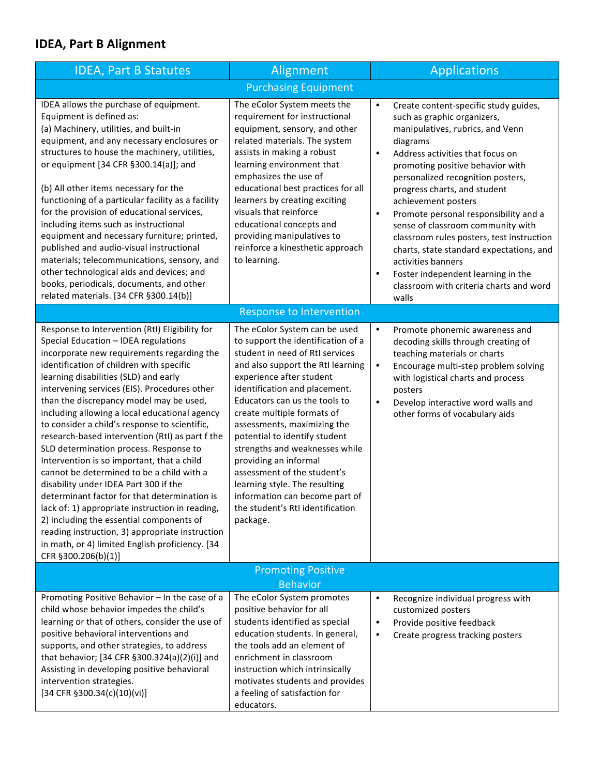## **IDEA, Part B Alignment**

| <b>IDEA, Part B Statutes</b>                                                                                                                                                                                                                                                                                                                                                                                                                                                                                                                                                                                                                                                                                                                                                                                                                                                                                                        | Alignment                                                                                                                                                                                                                                                                                                                                                                                                                                                                                                                                            | <b>Applications</b>                                                                                                                                                                                                                                                                                                                                                                                                                                                                                                                                                                                                                 |  |
|-------------------------------------------------------------------------------------------------------------------------------------------------------------------------------------------------------------------------------------------------------------------------------------------------------------------------------------------------------------------------------------------------------------------------------------------------------------------------------------------------------------------------------------------------------------------------------------------------------------------------------------------------------------------------------------------------------------------------------------------------------------------------------------------------------------------------------------------------------------------------------------------------------------------------------------|------------------------------------------------------------------------------------------------------------------------------------------------------------------------------------------------------------------------------------------------------------------------------------------------------------------------------------------------------------------------------------------------------------------------------------------------------------------------------------------------------------------------------------------------------|-------------------------------------------------------------------------------------------------------------------------------------------------------------------------------------------------------------------------------------------------------------------------------------------------------------------------------------------------------------------------------------------------------------------------------------------------------------------------------------------------------------------------------------------------------------------------------------------------------------------------------------|--|
| <b>Purchasing Equipment</b>                                                                                                                                                                                                                                                                                                                                                                                                                                                                                                                                                                                                                                                                                                                                                                                                                                                                                                         |                                                                                                                                                                                                                                                                                                                                                                                                                                                                                                                                                      |                                                                                                                                                                                                                                                                                                                                                                                                                                                                                                                                                                                                                                     |  |
| IDEA allows the purchase of equipment.<br>Equipment is defined as:<br>(a) Machinery, utilities, and built-in<br>equipment, and any necessary enclosures or<br>structures to house the machinery, utilities,<br>or equipment [34 CFR §300.14(a)]; and<br>(b) All other items necessary for the<br>functioning of a particular facility as a facility<br>for the provision of educational services,<br>including items such as instructional<br>equipment and necessary furniture; printed,<br>published and audio-visual instructional<br>materials; telecommunications, sensory, and<br>other technological aids and devices; and<br>books, periodicals, documents, and other<br>related materials. [34 CFR §300.14(b)]                                                                                                                                                                                                             | The eColor System meets the<br>requirement for instructional<br>equipment, sensory, and other<br>related materials. The system<br>assists in making a robust<br>learning environment that<br>emphasizes the use of<br>educational best practices for all<br>learners by creating exciting<br>visuals that reinforce<br>educational concepts and<br>providing manipulatives to<br>reinforce a kinesthetic approach<br>to learning.                                                                                                                    | Create content-specific study guides,<br>$\bullet$<br>such as graphic organizers,<br>manipulatives, rubrics, and Venn<br>diagrams<br>Address activities that focus on<br>$\bullet$<br>promoting positive behavior with<br>personalized recognition posters,<br>progress charts, and student<br>achievement posters<br>Promote personal responsibility and a<br>$\bullet$<br>sense of classroom community with<br>classroom rules posters, test instruction<br>charts, state standard expectations, and<br>activities banners<br>Foster independent learning in the<br>$\bullet$<br>classroom with criteria charts and word<br>walls |  |
| <b>Response to Intervention</b>                                                                                                                                                                                                                                                                                                                                                                                                                                                                                                                                                                                                                                                                                                                                                                                                                                                                                                     |                                                                                                                                                                                                                                                                                                                                                                                                                                                                                                                                                      |                                                                                                                                                                                                                                                                                                                                                                                                                                                                                                                                                                                                                                     |  |
| Response to Intervention (RtI) Eligibility for<br>Special Education - IDEA regulations<br>incorporate new requirements regarding the<br>identification of children with specific<br>learning disabilities (SLD) and early<br>intervening services (EIS). Procedures other<br>than the discrepancy model may be used,<br>including allowing a local educational agency<br>to consider a child's response to scientific,<br>research-based intervention (RtI) as part f the<br>SLD determination process. Response to<br>Intervention is so important, that a child<br>cannot be determined to be a child with a<br>disability under IDEA Part 300 if the<br>determinant factor for that determination is<br>lack of: 1) appropriate instruction in reading,<br>2) including the essential components of<br>reading instruction, 3) appropriate instruction<br>in math, or 4) limited English proficiency. [34<br>CFR §300.206(b)(1)] | The eColor System can be used<br>to support the identification of a<br>student in need of RtI services<br>and also support the RtI learning<br>experience after student<br>identification and placement.<br>Educators can us the tools to<br>create multiple formats of<br>assessments, maximizing the<br>potential to identify student<br>strengths and weaknesses while<br>providing an informal<br>assessment of the student's<br>learning style. The resulting<br>information can become part of<br>the student's RtI identification<br>package. | $\bullet$<br>Promote phonemic awareness and<br>decoding skills through creating of<br>teaching materials or charts<br>Encourage multi-step problem solving<br>$\bullet$<br>with logistical charts and process<br>posters<br>Develop interactive word walls and<br>$\bullet$<br>other forms of vocabulary aids                                                                                                                                                                                                                                                                                                                       |  |
| <b>Promoting Positive</b>                                                                                                                                                                                                                                                                                                                                                                                                                                                                                                                                                                                                                                                                                                                                                                                                                                                                                                           |                                                                                                                                                                                                                                                                                                                                                                                                                                                                                                                                                      |                                                                                                                                                                                                                                                                                                                                                                                                                                                                                                                                                                                                                                     |  |
| Promoting Positive Behavior - In the case of a                                                                                                                                                                                                                                                                                                                                                                                                                                                                                                                                                                                                                                                                                                                                                                                                                                                                                      | <b>Behavior</b><br>The eColor System promotes                                                                                                                                                                                                                                                                                                                                                                                                                                                                                                        | Recognize individual progress with<br>$\bullet$                                                                                                                                                                                                                                                                                                                                                                                                                                                                                                                                                                                     |  |
| child whose behavior impedes the child's<br>learning or that of others, consider the use of<br>positive behavioral interventions and<br>supports, and other strategies, to address<br>that behavior; [34 CFR §300.324(a)(2)(i)] and<br>Assisting in developing positive behavioral<br>intervention strategies.<br>[34 CFR §300.34(c)(10)(vi)]                                                                                                                                                                                                                                                                                                                                                                                                                                                                                                                                                                                       | positive behavior for all<br>students identified as special<br>education students. In general,<br>the tools add an element of<br>enrichment in classroom<br>instruction which intrinsically<br>motivates students and provides<br>a feeling of satisfaction for<br>educators.                                                                                                                                                                                                                                                                        | customized posters<br>Provide positive feedback<br>$\bullet$<br>Create progress tracking posters<br>$\bullet$                                                                                                                                                                                                                                                                                                                                                                                                                                                                                                                       |  |